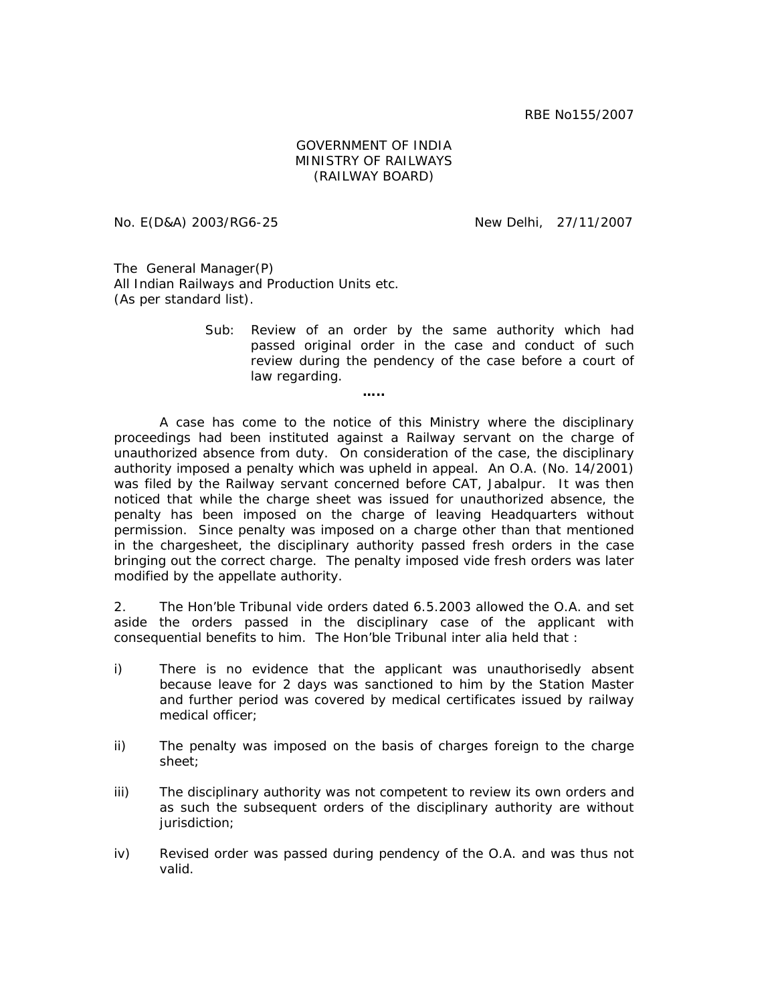RBE No155/2007

## GOVERNMENT OF INDIA MINISTRY OF RAILWAYS (RAILWAY BOARD)

No. E(D&A) 2003/RG6-25 New Delhi, 27/11/2007

The General Manager(P) All Indian Railways and Production Units etc. (As per standard list).

> Sub: Review of an order by the same authority which had passed original order in the case and conduct of such review during the pendency of the case before a court of law regarding.

> > **…..**

A case has come to the notice of this Ministry where the disciplinary proceedings had been instituted against a Railway servant on the charge of unauthorized absence from duty. On consideration of the case, the disciplinary authority imposed a penalty which was upheld in appeal. An O.A. (No. 14/2001) was filed by the Railway servant concerned before CAT, Jabalpur. It was then noticed that while the charge sheet was issued for unauthorized absence, the penalty has been imposed on the charge of leaving Headquarters without permission. Since penalty was imposed on a charge other than that mentioned in the chargesheet, the disciplinary authority passed fresh orders in the case bringing out the correct charge. The penalty imposed vide fresh orders was later modified by the appellate authority.

2. The Hon'ble Tribunal vide orders dated 6.5.2003 allowed the O.A. and set aside the orders passed in the disciplinary case of the applicant with consequential benefits to him. The Hon'ble Tribunal inter alia held that :

- i) There is no evidence that the applicant was unauthorisedly absent because leave for 2 days was sanctioned to him by the Station Master and further period was covered by medical certificates issued by railway medical officer;
- ii) The penalty was imposed on the basis of charges foreign to the charge sheet;
- iii) The disciplinary authority was not competent to review its own orders and as such the subsequent orders of the disciplinary authority are without jurisdiction;
- iv) Revised order was passed during pendency of the O.A. and was thus not valid.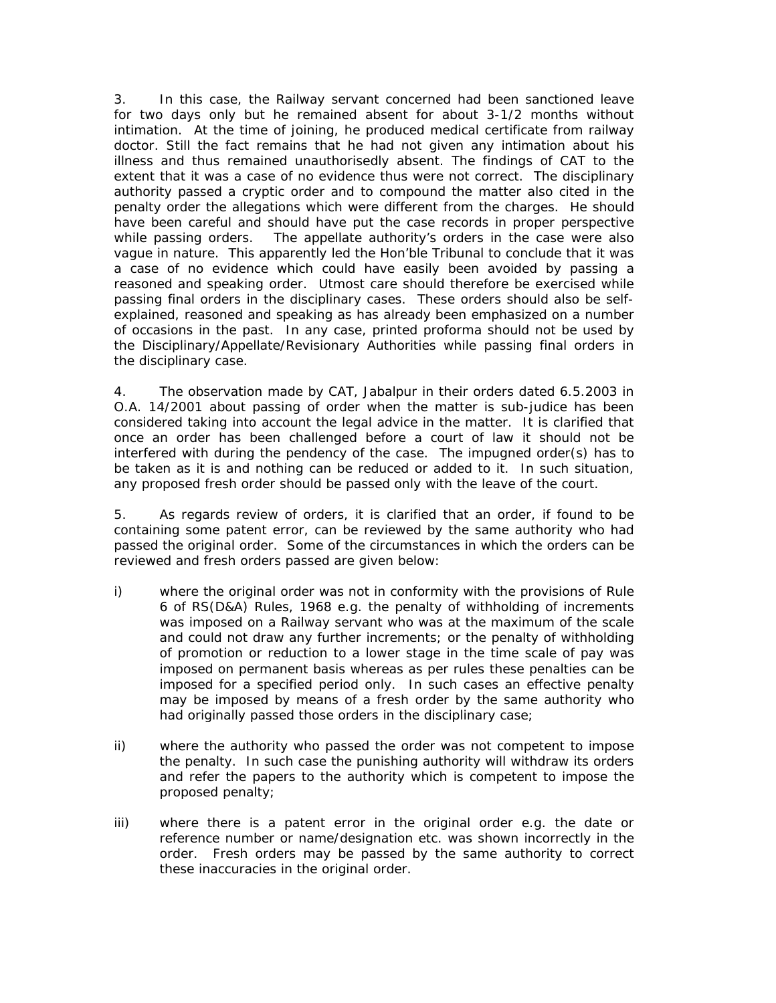3. In this case, the Railway servant concerned had been sanctioned leave for two days only but he remained absent for about 3-1/2 months without intimation. At the time of joining, he produced medical certificate from railway doctor. Still the fact remains that he had not given any intimation about his illness and thus remained unauthorisedly absent. The findings of CAT to the extent that it was a case of no evidence thus were not correct. The disciplinary authority passed a cryptic order and to compound the matter also cited in the penalty order the allegations which were different from the charges. He should have been careful and should have put the case records in proper perspective while passing orders. The appellate authority's orders in the case were also vague in nature. This apparently led the Hon'ble Tribunal to conclude that it was a case of no evidence which could have easily been avoided by passing a reasoned and speaking order. Utmost care should therefore be exercised while passing final orders in the disciplinary cases. These orders should also be selfexplained, reasoned and speaking as has already been emphasized on a number of occasions in the past. In any case, printed proforma should not be used by the Disciplinary/Appellate/Revisionary Authorities while passing final orders in the disciplinary case.

4. The observation made by CAT, Jabalpur in their orders dated 6.5.2003 in O.A. 14/2001 about passing of order when the matter is sub-judice has been considered taking into account the legal advice in the matter. It is clarified that once an order has been challenged before a court of law it should not be interfered with during the pendency of the case. The impugned order(s) has to be taken as it is and nothing can be reduced or added to it. In such situation, any proposed fresh order should be passed only with the leave of the court.

5. As regards review of orders, it is clarified that an order, if found to be containing some patent error, can be reviewed by the same authority who had passed the original order. Some of the circumstances in which the orders can be reviewed and fresh orders passed are given below:

- i) where the original order was not in conformity with the provisions of Rule 6 of RS(D&A) Rules, 1968 e.g. the penalty of withholding of increments was imposed on a Railway servant who was at the maximum of the scale and could not draw any further increments; or the penalty of withholding of promotion or reduction to a lower stage in the time scale of pay was imposed on permanent basis whereas as per rules these penalties can be imposed for a specified period only. In such cases an effective penalty may be imposed by means of a fresh order by the same authority who had originally passed those orders in the disciplinary case;
- ii) where the authority who passed the order was not competent to impose the penalty. In such case the punishing authority will withdraw its orders and refer the papers to the authority which is competent to impose the proposed penalty;
- iii) where there is a patent error in the original order e.g. the date or reference number or name/designation etc. was shown incorrectly in the order. Fresh orders may be passed by the same authority to correct these inaccuracies in the original order.